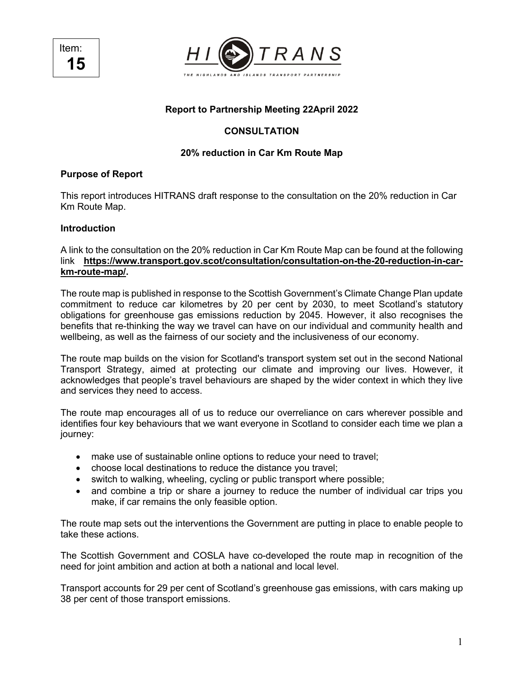Item: **15**



# **Report to Partnership Meeting 22April 2022**

# **CONSULTATION**

## **20% reduction in Car Km Route Map**

### **Purpose of Report**

This report introduces HITRANS draft response to the consultation on the 20% reduction in Car Km Route Map.

#### **Introduction**

A link to the consultation on the 20% reduction in Car Km Route Map can be found at the following link **https://www.transport.gov.scot/consultation/consultation-on-the-20-reduction-in-carkm-route-map/.**

The route map is published in response to the Scottish Government's Climate Change Plan update commitment to reduce car kilometres by 20 per cent by 2030, to meet Scotland's statutory obligations for greenhouse gas emissions reduction by 2045. However, it also recognises the benefits that re-thinking the way we travel can have on our individual and community health and wellbeing, as well as the fairness of our society and the inclusiveness of our economy.

The route map builds on the vision for Scotland's transport system set out in the second National Transport Strategy, aimed at protecting our climate and improving our lives. However, it acknowledges that people's travel behaviours are shaped by the wider context in which they live and services they need to access.

The route map encourages all of us to reduce our overreliance on cars wherever possible and identifies four key behaviours that we want everyone in Scotland to consider each time we plan a journey:

- make use of sustainable online options to reduce your need to travel;
- choose local destinations to reduce the distance you travel;
- switch to walking, wheeling, cycling or public transport where possible;
- and combine a trip or share a journey to reduce the number of individual car trips you make, if car remains the only feasible option.

The route map sets out the interventions the Government are putting in place to enable people to take these actions.

The Scottish Government and COSLA have co-developed the route map in recognition of the need for joint ambition and action at both a national and local level.

Transport accounts for 29 per cent of Scotland's greenhouse gas emissions, with cars making up 38 per cent of those transport emissions.